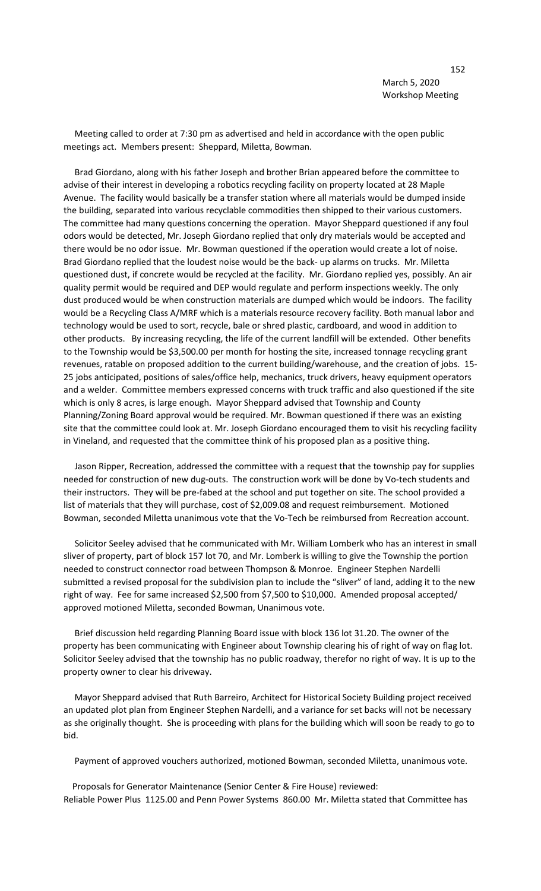Meeting called to order at 7:30 pm as advertised and held in accordance with the open public meetings act. Members present: Sheppard, Miletta, Bowman.

 Brad Giordano, along with his father Joseph and brother Brian appeared before the committee to advise of their interest in developing a robotics recycling facility on property located at 28 Maple Avenue. The facility would basically be a transfer station where all materials would be dumped inside the building, separated into various recyclable commodities then shipped to their various customers. The committee had many questions concerning the operation. Mayor Sheppard questioned if any foul odors would be detected, Mr. Joseph Giordano replied that only dry materials would be accepted and there would be no odor issue. Mr. Bowman questioned if the operation would create a lot of noise. Brad Giordano replied that the loudest noise would be the back- up alarms on trucks. Mr. Miletta questioned dust, if concrete would be recycled at the facility. Mr. Giordano replied yes, possibly. An air quality permit would be required and DEP would regulate and perform inspections weekly. The only dust produced would be when construction materials are dumped which would be indoors. The facility would be a Recycling Class A/MRF which is a materials resource recovery facility. Both manual labor and technology would be used to sort, recycle, bale or shred plastic, cardboard, and wood in addition to other products. By increasing recycling, the life of the current landfill will be extended. Other benefits to the Township would be \$3,500.00 per month for hosting the site, increased tonnage recycling grant revenues, ratable on proposed addition to the current building/warehouse, and the creation of jobs. 15- 25 jobs anticipated, positions of sales/office help, mechanics, truck drivers, heavy equipment operators and a welder. Committee members expressed concerns with truck traffic and also questioned if the site which is only 8 acres, is large enough. Mayor Sheppard advised that Township and County Planning/Zoning Board approval would be required. Mr. Bowman questioned if there was an existing site that the committee could look at. Mr. Joseph Giordano encouraged them to visit his recycling facility in Vineland, and requested that the committee think of his proposed plan as a positive thing.

 Jason Ripper, Recreation, addressed the committee with a request that the township pay for supplies needed for construction of new dug-outs. The construction work will be done by Vo-tech students and their instructors. They will be pre-fabed at the school and put together on site. The school provided a list of materials that they will purchase, cost of \$2,009.08 and request reimbursement. Motioned Bowman, seconded Miletta unanimous vote that the Vo-Tech be reimbursed from Recreation account.

 Solicitor Seeley advised that he communicated with Mr. William Lomberk who has an interest in small sliver of property, part of block 157 lot 70, and Mr. Lomberk is willing to give the Township the portion needed to construct connector road between Thompson & Monroe. Engineer Stephen Nardelli submitted a revised proposal for the subdivision plan to include the "sliver" of land, adding it to the new right of way. Fee for same increased \$2,500 from \$7,500 to \$10,000. Amended proposal accepted/ approved motioned Miletta, seconded Bowman, Unanimous vote.

 Brief discussion held regarding Planning Board issue with block 136 lot 31.20. The owner of the property has been communicating with Engineer about Township clearing his of right of way on flag lot. Solicitor Seeley advised that the township has no public roadway, therefor no right of way. It is up to the property owner to clear his driveway.

 Mayor Sheppard advised that Ruth Barreiro, Architect for Historical Society Building project received an updated plot plan from Engineer Stephen Nardelli, and a variance for set backs will not be necessary as she originally thought. She is proceeding with plans for the building which will soon be ready to go to bid.

Payment of approved vouchers authorized, motioned Bowman, seconded Miletta, unanimous vote.

 Proposals for Generator Maintenance (Senior Center & Fire House) reviewed: Reliable Power Plus 1125.00 and Penn Power Systems 860.00 Mr. Miletta stated that Committee has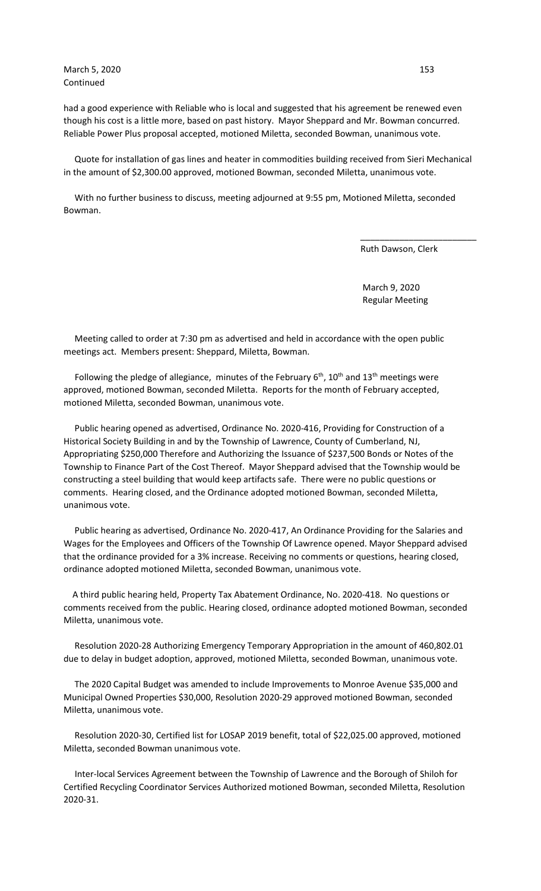March 5, 2020 **153** Continued

had a good experience with Reliable who is local and suggested that his agreement be renewed even though his cost is a little more, based on past history. Mayor Sheppard and Mr. Bowman concurred. Reliable Power Plus proposal accepted, motioned Miletta, seconded Bowman, unanimous vote.

 Quote for installation of gas lines and heater in commodities building received from Sieri Mechanical in the amount of \$2,300.00 approved, motioned Bowman, seconded Miletta, unanimous vote.

 $\overline{\phantom{a}}$  , and the contract of the contract of the contract of the contract of the contract of the contract of the contract of the contract of the contract of the contract of the contract of the contract of the contrac

 With no further business to discuss, meeting adjourned at 9:55 pm, Motioned Miletta, seconded Bowman.

Ruth Dawson, Clerk

 March 9, 2020 Regular Meeting

 Meeting called to order at 7:30 pm as advertised and held in accordance with the open public meetings act. Members present: Sheppard, Miletta, Bowman.

Following the pledge of allegiance, minutes of the February  $6<sup>th</sup>$ ,  $10<sup>th</sup>$  and  $13<sup>th</sup>$  meetings were approved, motioned Bowman, seconded Miletta. Reports for the month of February accepted, motioned Miletta, seconded Bowman, unanimous vote.

 Public hearing opened as advertised, Ordinance No. 2020-416, Providing for Construction of a Historical Society Building in and by the Township of Lawrence, County of Cumberland, NJ, Appropriating \$250,000 Therefore and Authorizing the Issuance of \$237,500 Bonds or Notes of the Township to Finance Part of the Cost Thereof. Mayor Sheppard advised that the Township would be constructing a steel building that would keep artifacts safe. There were no public questions or comments. Hearing closed, and the Ordinance adopted motioned Bowman, seconded Miletta, unanimous vote.

 Public hearing as advertised, Ordinance No. 2020-417, An Ordinance Providing for the Salaries and Wages for the Employees and Officers of the Township Of Lawrence opened. Mayor Sheppard advised that the ordinance provided for a 3% increase. Receiving no comments or questions, hearing closed, ordinance adopted motioned Miletta, seconded Bowman, unanimous vote.

 A third public hearing held, Property Tax Abatement Ordinance, No. 2020-418. No questions or comments received from the public. Hearing closed, ordinance adopted motioned Bowman, seconded Miletta, unanimous vote.

 Resolution 2020-28 Authorizing Emergency Temporary Appropriation in the amount of 460,802.01 due to delay in budget adoption, approved, motioned Miletta, seconded Bowman, unanimous vote.

 The 2020 Capital Budget was amended to include Improvements to Monroe Avenue \$35,000 and Municipal Owned Properties \$30,000, Resolution 2020-29 approved motioned Bowman, seconded Miletta, unanimous vote.

 Resolution 2020-30, Certified list for LOSAP 2019 benefit, total of \$22,025.00 approved, motioned Miletta, seconded Bowman unanimous vote.

 Inter-local Services Agreement between the Township of Lawrence and the Borough of Shiloh for Certified Recycling Coordinator Services Authorized motioned Bowman, seconded Miletta, Resolution 2020-31.